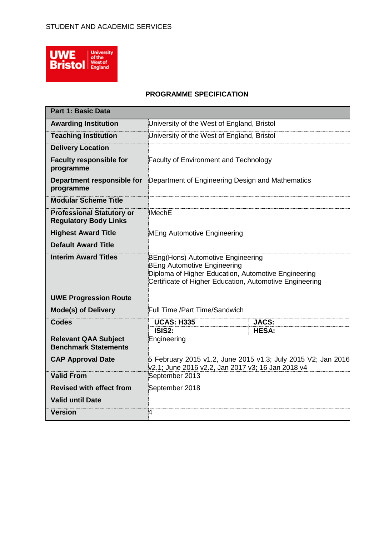

#### **PROGRAMME SPECIFICATION**

| <b>Part 1: Basic Data</b>                                        |                                                                                                                                                                                           |                                                  |  |  |
|------------------------------------------------------------------|-------------------------------------------------------------------------------------------------------------------------------------------------------------------------------------------|--------------------------------------------------|--|--|
| <b>Awarding Institution</b>                                      | University of the West of England, Bristol                                                                                                                                                |                                                  |  |  |
| <b>Teaching Institution</b>                                      | University of the West of England, Bristol                                                                                                                                                |                                                  |  |  |
| <b>Delivery Location</b>                                         |                                                                                                                                                                                           |                                                  |  |  |
| <b>Faculty responsible for</b><br>programme                      | <b>Faculty of Environment and Technology</b>                                                                                                                                              |                                                  |  |  |
| Department responsible for<br>programme                          |                                                                                                                                                                                           | Department of Engineering Design and Mathematics |  |  |
| <b>Modular Scheme Title</b>                                      |                                                                                                                                                                                           |                                                  |  |  |
| <b>Professional Statutory or</b><br><b>Regulatory Body Links</b> | <b>IMechE</b>                                                                                                                                                                             |                                                  |  |  |
| <b>Highest Award Title</b>                                       | MEng Automotive Engineering                                                                                                                                                               |                                                  |  |  |
| <b>Default Award Title</b>                                       |                                                                                                                                                                                           |                                                  |  |  |
| <b>Interim Award Titles</b>                                      | BEng(Hons) Automotive Engineering<br><b>BEng Automotive Engineering</b><br>Diploma of Higher Education, Automotive Engineering<br>Certificate of Higher Education, Automotive Engineering |                                                  |  |  |
| <b>UWE Progression Route</b>                                     |                                                                                                                                                                                           |                                                  |  |  |
| <b>Mode(s) of Delivery</b>                                       | <b>Full Time /Part Time/Sandwich</b>                                                                                                                                                      |                                                  |  |  |
| <b>Codes</b>                                                     | <b>UCAS: H335</b>                                                                                                                                                                         | <b>JACS:</b>                                     |  |  |
| <b>Relevant QAA Subject</b><br><b>Benchmark Statements</b>       | ISIS2:<br><b>HESA:</b><br>Engineering                                                                                                                                                     |                                                  |  |  |
| <b>CAP Approval Date</b>                                         | 5 February 2015 v1.2, June 2015 v1.3; July 2015 V2; Jan 2016<br>v2.1; June 2016 v2.2, Jan 2017 v3; 16 Jan 2018 v4                                                                         |                                                  |  |  |
| <b>Valid From</b>                                                | September 2013                                                                                                                                                                            |                                                  |  |  |
| <b>Revised with effect from</b>                                  | September 2018                                                                                                                                                                            |                                                  |  |  |
| <b>Valid until Date</b>                                          |                                                                                                                                                                                           |                                                  |  |  |
| <b>Version</b>                                                   | 4                                                                                                                                                                                         |                                                  |  |  |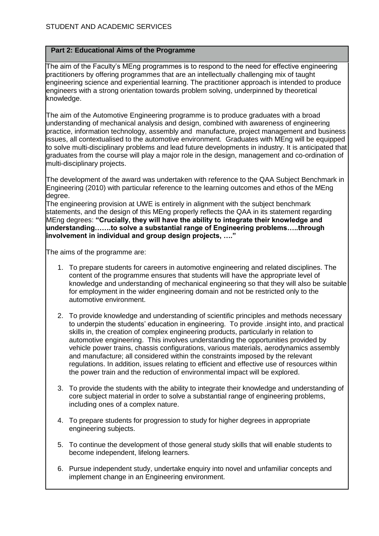# **Part 2: Educational Aims of the Programme**

The aim of the Faculty's MEng programmes is to respond to the need for effective engineering practitioners by offering programmes that are an intellectually challenging mix of taught engineering science and experiential learning. The practitioner approach is intended to produce engineers with a strong orientation towards problem solving, underpinned by theoretical knowledge.

The aim of the Automotive Engineering programme is to produce graduates with a broad understanding of mechanical analysis and design, combined with awareness of engineering practice, information technology, assembly and manufacture, project management and business issues, all contextualised to the automotive environment. Graduates with MEng will be equipped to solve multi-disciplinary problems and lead future developments in industry. It is anticipated that graduates from the course will play a major role in the design, management and co-ordination of multi-disciplinary projects.

The development of the award was undertaken with reference to the QAA Subject Benchmark in Engineering (2010) with particular reference to the learning outcomes and ethos of the MEng degree.

The engineering provision at UWE is entirely in alignment with the subject benchmark statements, and the design of this MEng properly reflects the QAA in its statement regarding MEng degrees: **"Crucially, they will have the ability to integrate their knowledge and understanding…….to solve a substantial range of Engineering problems…..through involvement in individual and group design projects, …."**

The aims of the programme are:

- 1. To prepare students for careers in automotive engineering and related disciplines. The content of the programme ensures that students will have the appropriate level of knowledge and understanding of mechanical engineering so that they will also be suitable for employment in the wider engineering domain and not be restricted only to the automotive environment.
- 2. To provide knowledge and understanding of scientific principles and methods necessary to underpin the students' education in engineering. To provide .insight into, and practical skills in, the creation of complex engineering products, particularly in relation to automotive engineering. This involves understanding the opportunities provided by vehicle power trains, chassis configurations, various materials, aerodynamics assembly and manufacture; all considered within the constraints imposed by the relevant regulations. In addition, issues relating to efficient and effective use of resources within the power train and the reduction of environmental impact will be explored.
- 3. To provide the students with the ability to integrate their knowledge and understanding of core subject material in order to solve a substantial range of engineering problems, including ones of a complex nature.
- 4. To prepare students for progression to study for higher degrees in appropriate engineering subjects.
- 5. To continue the development of those general study skills that will enable students to become independent, lifelong learners.
- 6. Pursue independent study, undertake enquiry into novel and unfamiliar concepts and implement change in an Engineering environment.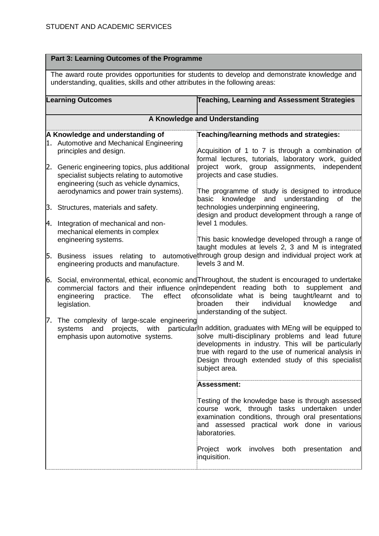|     | Part 3: Learning Outcomes of the Programme                                                                                                                                    |                                                                                                                                                                                                                                                                                                                     |  |  |
|-----|-------------------------------------------------------------------------------------------------------------------------------------------------------------------------------|---------------------------------------------------------------------------------------------------------------------------------------------------------------------------------------------------------------------------------------------------------------------------------------------------------------------|--|--|
|     | The award route provides opportunities for students to develop and demonstrate knowledge and<br>understanding, qualities, skills and other attributes in the following areas: |                                                                                                                                                                                                                                                                                                                     |  |  |
|     | <b>Learning Outcomes</b>                                                                                                                                                      | <b>Teaching, Learning and Assessment Strategies</b>                                                                                                                                                                                                                                                                 |  |  |
|     |                                                                                                                                                                               | A Knowledge and Understanding                                                                                                                                                                                                                                                                                       |  |  |
|     | A Knowledge and understanding of                                                                                                                                              | Teaching/learning methods and strategies:                                                                                                                                                                                                                                                                           |  |  |
|     | 1. Automotive and Mechanical Engineering                                                                                                                                      |                                                                                                                                                                                                                                                                                                                     |  |  |
|     | principles and design.                                                                                                                                                        | Acquisition of 1 to 7 is through a combination of                                                                                                                                                                                                                                                                   |  |  |
| 2.  | Generic engineering topics, plus additional                                                                                                                                   | formal lectures, tutorials, laboratory work, guided<br>project work, group assignments, independent                                                                                                                                                                                                                 |  |  |
|     | specialist subjects relating to automotive                                                                                                                                    | projects and case studies.                                                                                                                                                                                                                                                                                          |  |  |
|     | engineering (such as vehicle dynamics,                                                                                                                                        |                                                                                                                                                                                                                                                                                                                     |  |  |
|     | aerodynamics and power train systems).                                                                                                                                        | The programme of study is designed to introduce                                                                                                                                                                                                                                                                     |  |  |
|     |                                                                                                                                                                               | understanding<br>basic<br>knowledge<br>and<br>of<br>the                                                                                                                                                                                                                                                             |  |  |
|     | 3. Structures, materials and safety.                                                                                                                                          | technologies underpinning engineering,<br>design and product development through a range of                                                                                                                                                                                                                         |  |  |
| И.  | Integration of mechanical and non-                                                                                                                                            | level 1 modules.                                                                                                                                                                                                                                                                                                    |  |  |
|     | mechanical elements in complex                                                                                                                                                |                                                                                                                                                                                                                                                                                                                     |  |  |
|     | engineering systems.                                                                                                                                                          | This basic knowledge developed through a range of                                                                                                                                                                                                                                                                   |  |  |
|     |                                                                                                                                                                               | taught modules at levels 2, 3 and M is integrated<br>Business issues relating to automotivethrough group design and individual project work at                                                                                                                                                                      |  |  |
| 5.  | engineering products and manufacture.                                                                                                                                         | levels 3 and M.                                                                                                                                                                                                                                                                                                     |  |  |
|     |                                                                                                                                                                               |                                                                                                                                                                                                                                                                                                                     |  |  |
| 6.  | The<br>effect<br>engineering<br>practice.<br>legislation.                                                                                                                     | Social, environmental, ethical, economic and Throughout, the student is encouraged to undertake<br>commercial factors and their influence onlindependent reading both to supplement<br>and<br>of consolidate what is being taught/learnt and to<br>broaden<br>their<br>individual<br>knowledge<br>and               |  |  |
|     |                                                                                                                                                                               | understanding of the subject.                                                                                                                                                                                                                                                                                       |  |  |
| 17. | The complexity of large-scale engineering                                                                                                                                     |                                                                                                                                                                                                                                                                                                                     |  |  |
|     | projects,<br>with<br>systems<br>and<br>emphasis upon automotive systems.                                                                                                      | particular <sup>In</sup> addition, graduates with MEng will be equipped to<br>solve multi-disciplinary problems and lead future<br>developments in industry. This will be particularly<br>true with regard to the use of numerical analysis in<br>Design through extended study of this specialist<br>subject area. |  |  |
|     |                                                                                                                                                                               | <b>Assessment:</b>                                                                                                                                                                                                                                                                                                  |  |  |
|     |                                                                                                                                                                               | Testing of the knowledge base is through assessed<br>course work, through tasks undertaken under<br>examination conditions, through oral presentations<br>and assessed practical work done in various<br>laboratories.                                                                                              |  |  |
|     |                                                                                                                                                                               | Project work<br>involves<br>both<br>presentation<br>and<br>inquisition.                                                                                                                                                                                                                                             |  |  |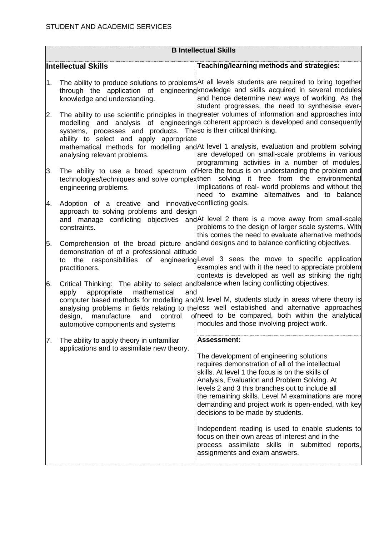|    | <b>B Intellectual Skills</b>                                                                                                            |                                                                                                                                                                                                                                                                                                                                                                                                            |  |  |
|----|-----------------------------------------------------------------------------------------------------------------------------------------|------------------------------------------------------------------------------------------------------------------------------------------------------------------------------------------------------------------------------------------------------------------------------------------------------------------------------------------------------------------------------------------------------------|--|--|
|    | <b>Intellectual Skills</b>                                                                                                              | Teaching/learning methods and strategies:                                                                                                                                                                                                                                                                                                                                                                  |  |  |
| 1. | knowledge and understanding.                                                                                                            | The ability to produce solutions to problems At all levels students are required to bring together<br>through the application of engineering knowledge and skills acquired in several modules<br>and hence determine new ways of working. As the<br>student progresses, the need to synthesise ever-<br>The ability to use scientific principles in the greater volumes of information and approaches into |  |  |
| 2. | systems, processes and products. Theso is their critical thinking.<br>ability to select and apply appropriate                           | modelling and analysis of engineering a coherent approach is developed and consequently<br>mathematical methods for modelling and At level 1 analysis, evaluation and problem solving                                                                                                                                                                                                                      |  |  |
|    | analysing relevant problems.                                                                                                            | are developed on small-scale problems in various<br>programming activities in a number of modules.                                                                                                                                                                                                                                                                                                         |  |  |
| 3. | engineering problems.                                                                                                                   | The ability to use a broad spectrum of Here the focus is on understanding the problem and<br>technologies/techniques and solve complexthen solving it free from the environmental<br>implications of real- world problems and without the<br>need to examine alternatives and to balance                                                                                                                   |  |  |
| 4. | Adoption of a creative and innovative conflicting goals.<br>approach to solving problems and design                                     |                                                                                                                                                                                                                                                                                                                                                                                                            |  |  |
|    | constraints.                                                                                                                            | and manage conflicting objectives and At level 2 there is a move away from small-scale<br>problems to the design of larger scale systems. With<br>this comes the need to evaluate alternative methods                                                                                                                                                                                                      |  |  |
| 5. | demonstration of of a professional attitude<br>practitioners.                                                                           | Comprehension of the broad picture and and designs and to balance conflicting objectives.<br>to the responsibilities of engineering Level 3 sees the move to specific application<br>examples and with it the need to appreciate problem<br>contexts is developed as well as striking the right                                                                                                            |  |  |
| 6. | Critical Thinking: The ability to select and balance when facing conflicting objectives.<br>appropriate<br>mathematical<br>and<br>apply |                                                                                                                                                                                                                                                                                                                                                                                                            |  |  |
|    | manufacture<br>and<br>control<br>design,<br>automotive components and systems                                                           | computer based methods for modelling and At level M, students study in areas where theory is<br>analysing problems in fields relating to theless well established and alternative approaches<br>ofneed to be compared, both within the analytical<br>modules and those involving project work.                                                                                                             |  |  |
| 7. | The ability to apply theory in unfamiliar                                                                                               | <b>Assessment:</b>                                                                                                                                                                                                                                                                                                                                                                                         |  |  |
|    | applications and to assimilate new theory.                                                                                              | The development of engineering solutions<br>requires demonstration of all of the intellectual<br>skills. At level 1 the focus is on the skills of<br>Analysis, Evaluation and Problem Solving. At<br>levels 2 and 3 this branches out to include all<br>the remaining skills. Level M examinations are more<br>demanding and project work is open-ended, with key<br>decisions to be made by students.     |  |  |
|    |                                                                                                                                         | Independent reading is used to enable students to<br>focus on their own areas of interest and in the<br>process assimilate skills in submitted reports,<br>assignments and exam answers.                                                                                                                                                                                                                   |  |  |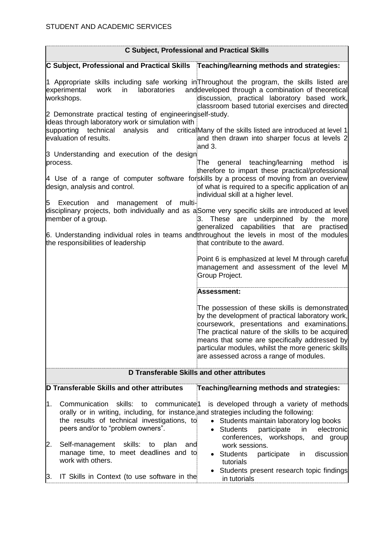|                                                                                                                                                                                                                                                | <b>C Subject, Professional and Practical Skills</b>                                                                                                                                                                                                                                                                                                      |
|------------------------------------------------------------------------------------------------------------------------------------------------------------------------------------------------------------------------------------------------|----------------------------------------------------------------------------------------------------------------------------------------------------------------------------------------------------------------------------------------------------------------------------------------------------------------------------------------------------------|
| C Subject, Professional and Practical Skills Teaching/learning methods and strategies:                                                                                                                                                         |                                                                                                                                                                                                                                                                                                                                                          |
| in<br>laboratories<br>experimental<br>work<br>workshops.                                                                                                                                                                                       | 1 Appropriate skills including safe working in Throughout the program, the skills listed are<br>and developed through a combination of theoretical<br>discussion, practical laboratory based work,<br>classroom based tutorial exercises and directed                                                                                                    |
| 2 Demonstrate practical testing of engineeringself-study.<br>ideas through laboratory work or simulation with<br>supporting technical<br>analysis<br>and<br>evaluation of results.                                                             | criticalMany of the skills listed are introduced at level 1<br>and then drawn into sharper focus at levels 2<br>and 3.                                                                                                                                                                                                                                   |
| 3 Understanding and execution of the design<br>process.                                                                                                                                                                                        | general teaching/learning<br>The<br>method<br>isl<br>therefore to impart these practical/professional                                                                                                                                                                                                                                                    |
| design, analysis and control.                                                                                                                                                                                                                  | 4 Use of a range of computer software forskills by a process of moving from an overview<br>of what is required to a specific application of an<br>individual skill at a higher level.                                                                                                                                                                    |
| multi-<br>Execution and<br>management of<br>15<br>member of a group.                                                                                                                                                                           | disciplinary projects, both individually and as a Some very specific skills are introduced at level<br>3. These are underpinned by the more<br>generalized capabilities that are practised                                                                                                                                                               |
| the responsibilities of leadership                                                                                                                                                                                                             | 6. Understanding individual roles in teams and throughout the levels in most of the modules<br>that contribute to the award.                                                                                                                                                                                                                             |
|                                                                                                                                                                                                                                                | Point 6 is emphasized at level M through careful<br>management and assessment of the level M<br>Group Project.                                                                                                                                                                                                                                           |
|                                                                                                                                                                                                                                                | Assessment:                                                                                                                                                                                                                                                                                                                                              |
|                                                                                                                                                                                                                                                | The possession of these skills is demonstrated<br>by the development of practical laboratory work,<br>coursework, presentations and examinations.<br>The practical nature of the skills to be acquired<br>means that some are specifically addressed by<br>particular modules, whilst the more generic skills<br>are assessed across a range of modules. |
|                                                                                                                                                                                                                                                | D Transferable Skills and other attributes                                                                                                                                                                                                                                                                                                               |
| D Transferable Skills and other attributes                                                                                                                                                                                                     | Teaching/learning methods and strategies:                                                                                                                                                                                                                                                                                                                |
| Communication<br>skills:<br>1.<br>communicate <sup>1</sup><br>to<br>orally or in writing, including, for instance, and strategies including the following:<br>the results of technical investigations, to<br>peers and/or to "problem owners". | is developed through a variety of methods<br>Students maintain laboratory log books<br>$\bullet$<br>• Students<br>participate<br>in<br>electronic<br>conferences, workshops,<br>and group                                                                                                                                                                |
| Self-management skills:<br>2.<br>to<br>plan<br>and<br>manage time, to meet deadlines and to<br>work with others.                                                                                                                               | work sessions.<br><b>Students</b><br>participate<br>discussion<br>in<br>tutorials                                                                                                                                                                                                                                                                        |
| IT Skills in Context (to use software in the<br>β.                                                                                                                                                                                             | Students present research topic findings<br>in tutorials                                                                                                                                                                                                                                                                                                 |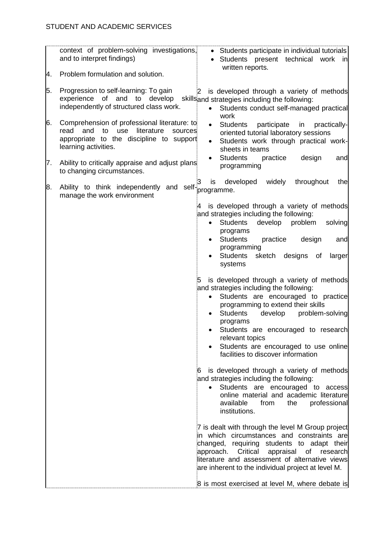|          | context of problem-solving investigations,<br>and to interpret findings)                                                                                              | • Students participate in individual tutorials<br>Students present technical<br>work<br>inl<br>written reports.                                                                                                                                                                                                                                                                           |
|----------|-----------------------------------------------------------------------------------------------------------------------------------------------------------------------|-------------------------------------------------------------------------------------------------------------------------------------------------------------------------------------------------------------------------------------------------------------------------------------------------------------------------------------------------------------------------------------------|
| Α.<br>5. | Problem formulation and solution.<br>Progression to self-learning: To gain                                                                                            |                                                                                                                                                                                                                                                                                                                                                                                           |
|          | experience of<br>and<br>develop<br>to<br>independently of structured class work.                                                                                      | is developed through a variety of methods<br>$\mathbf{2}$<br>skillsand strategies including the following:<br>Students conduct self-managed practical<br>$\bullet$<br>work                                                                                                                                                                                                                |
| 6.       | Comprehension of professional literature: to<br>read<br>and<br>to<br>use<br>literature<br>sources<br>appropriate to the discipline to support<br>learning activities. | <b>Students</b><br>participate<br>practically-<br>in<br>$\bullet$<br>oriented tutorial laboratory sessions<br>Students work through practical work-<br>$\bullet$<br>sheets in teams                                                                                                                                                                                                       |
| 7.       | Ability to critically appraise and adjust plans<br>to changing circumstances.                                                                                         | <b>Students</b><br>design<br>practice<br>$\bullet$<br>and<br>programming                                                                                                                                                                                                                                                                                                                  |
| 8.       | Ability to think independently<br>and self-<br>manage the work environment                                                                                            | developed<br>widely<br>throughout<br>is<br>the<br>programme.                                                                                                                                                                                                                                                                                                                              |
|          |                                                                                                                                                                       | $\overline{A}$<br>is developed through a variety of methods<br>and strategies including the following:<br><b>Students</b><br>develop<br>problem<br>solving<br>$\bullet$<br>programs<br><b>Students</b><br>design<br>practice<br>and<br>programming<br>Students<br>sketch<br>designs<br>οf<br>larger<br>systems                                                                            |
|          |                                                                                                                                                                       | is developed through a variety of methods<br>5<br>and strategies including the following:<br>Students are encouraged to practice<br>$\bullet$<br>programming to extend their skills<br><b>Students</b><br>develop<br>problem-solving<br>programs<br>Students are encouraged to research<br>relevant topics<br>Students are encouraged to use online<br>facilities to discover information |
|          |                                                                                                                                                                       | is developed through a variety of methods<br>6<br>and strategies including the following:<br>Students are encouraged to access<br>$\bullet$<br>online material and academic literature<br>available<br>from<br>the<br>professional<br>institutions.                                                                                                                                       |
|          |                                                                                                                                                                       | 7 is dealt with through the level M Group project<br>in which circumstances and constraints are<br>changed, requiring students to adapt their<br>Critical appraisal of<br>approach.<br>research<br>literature and assessment of alternative views<br>are inherent to the individual project at level M.                                                                                   |
|          |                                                                                                                                                                       | 8 is most exercised at level M, where debate is                                                                                                                                                                                                                                                                                                                                           |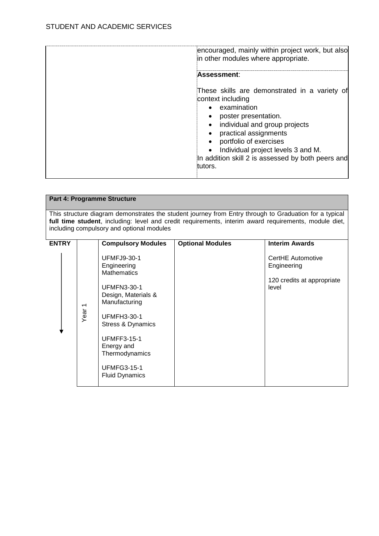| encouraged, mainly within project work, but also<br>in other modules where appropriate.                                                                                                                                                                                                                          |
|------------------------------------------------------------------------------------------------------------------------------------------------------------------------------------------------------------------------------------------------------------------------------------------------------------------|
| Assessment:                                                                                                                                                                                                                                                                                                      |
| These skills are demonstrated in a variety of<br>context including<br>examination<br>poster presentation.<br>individual and group projects<br>$\bullet$<br>practical assignments<br>portfolio of exercises<br>Individual project levels 3 and M.<br>In addition skill 2 is assessed by both peers and<br>tutors. |

|                                                                                                                                                                                                                                                              |                                  | <b>Part 4: Programme Structure</b>                                                                                                                                                                                                                                    |                         |                                                                         |
|--------------------------------------------------------------------------------------------------------------------------------------------------------------------------------------------------------------------------------------------------------------|----------------------------------|-----------------------------------------------------------------------------------------------------------------------------------------------------------------------------------------------------------------------------------------------------------------------|-------------------------|-------------------------------------------------------------------------|
| This structure diagram demonstrates the student journey from Entry through to Graduation for a typical<br>full time student, including: level and credit requirements, interim award requirements, module diet,<br>including compulsory and optional modules |                                  |                                                                                                                                                                                                                                                                       |                         |                                                                         |
| <b>ENTRY</b>                                                                                                                                                                                                                                                 |                                  | <b>Compulsory Modules</b>                                                                                                                                                                                                                                             | <b>Optional Modules</b> | <b>Interim Awards</b>                                                   |
|                                                                                                                                                                                                                                                              | $\overline{\phantom{0}}$<br>Year | <b>UFMFJ9-30-1</b><br>Engineering<br><b>Mathematics</b><br><b>UFMFN3-30-1</b><br>Design, Materials &<br>Manufacturing<br><b>UFMFH3-30-1</b><br>Stress & Dynamics<br><b>UFMFF3-15-1</b><br>Energy and<br>Thermodynamics<br><b>UFMFG3-15-1</b><br><b>Fluid Dynamics</b> |                         | CertHE Automotive<br>Engineering<br>120 credits at appropriate<br>level |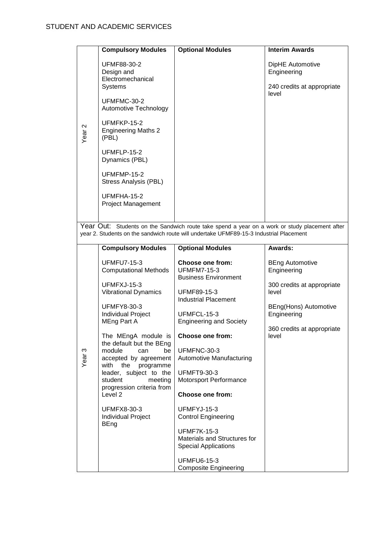|                   | <b>Compulsory Modules</b>                                                                                                                                                                                                                                                      | <b>Optional Modules</b>                                                                                                                                                                 | <b>Interim Awards</b>                                                  |
|-------------------|--------------------------------------------------------------------------------------------------------------------------------------------------------------------------------------------------------------------------------------------------------------------------------|-----------------------------------------------------------------------------------------------------------------------------------------------------------------------------------------|------------------------------------------------------------------------|
|                   | UFMF88-30-2<br>Design and<br>Electromechanical<br>Systems<br>UFMFMC-30-2<br>Automotive Technology                                                                                                                                                                              |                                                                                                                                                                                         | DipHE Automotive<br>Engineering<br>240 credits at appropriate<br>level |
| Year <sub>2</sub> | UFMFKP-15-2<br><b>Engineering Maths 2</b><br>(PBL)                                                                                                                                                                                                                             |                                                                                                                                                                                         |                                                                        |
|                   | UFMFLP-15-2<br>Dynamics (PBL)                                                                                                                                                                                                                                                  |                                                                                                                                                                                         |                                                                        |
|                   | UFMFMP-15-2<br>Stress Analysis (PBL)                                                                                                                                                                                                                                           |                                                                                                                                                                                         |                                                                        |
|                   | UFMFHA-15-2<br><b>Project Management</b>                                                                                                                                                                                                                                       |                                                                                                                                                                                         |                                                                        |
|                   |                                                                                                                                                                                                                                                                                | Year Out: Students on the Sandwich route take spend a year on a work or study placement after<br>year 2. Students on the sandwich route will undertake UFMF89-15-3 Industrial Placement |                                                                        |
|                   | <b>Compulsory Modules</b>                                                                                                                                                                                                                                                      | <b>Optional Modules</b>                                                                                                                                                                 | Awards:                                                                |
|                   | <b>UFMFU7-15-3</b><br><b>Computational Methods</b>                                                                                                                                                                                                                             | <b>Choose one from:</b><br><b>UFMFM7-15-3</b><br><b>Business Environment</b>                                                                                                            | <b>BEng Automotive</b><br>Engineering                                  |
|                   | UFMFXJ-15-3<br><b>Vibrational Dynamics</b><br><b>UFMFY8-30-3</b><br>Individual Project<br>MEng Part A<br>The MEngA module is<br>the default but the BEng<br>module<br>can<br>be<br>accepted by agreement<br>with the programme<br>leader, subject to the<br>student<br>meeting | UFMF89-15-3<br><b>Industrial Placement</b>                                                                                                                                              | 300 credits at appropriate<br>level                                    |
|                   |                                                                                                                                                                                                                                                                                | UFMFCL-15-3<br><b>Engineering and Society</b>                                                                                                                                           | BEng(Hons) Automotive<br>Engineering                                   |
|                   |                                                                                                                                                                                                                                                                                | <b>Choose one from:</b>                                                                                                                                                                 | 360 credits at appropriate<br>level                                    |
| Year <sub>3</sub> |                                                                                                                                                                                                                                                                                | UFMFNC-30-3<br>Automotive Manufacturing                                                                                                                                                 |                                                                        |
|                   |                                                                                                                                                                                                                                                                                | <b>UFMFT9-30-3</b><br>Motorsport Performance                                                                                                                                            |                                                                        |
|                   | progression criteria from<br>Level <sub>2</sub>                                                                                                                                                                                                                                | <b>Choose one from:</b>                                                                                                                                                                 |                                                                        |
|                   | <b>UFMFX8-30-3</b><br>Individual Project<br><b>BEng</b>                                                                                                                                                                                                                        | UFMFYJ-15-3<br><b>Control Engineering</b>                                                                                                                                               |                                                                        |
|                   |                                                                                                                                                                                                                                                                                | <b>UFMF7K-15-3</b><br>Materials and Structures for<br><b>Special Applications</b>                                                                                                       |                                                                        |
|                   |                                                                                                                                                                                                                                                                                | <b>UFMFU6-15-3</b><br><b>Composite Engineering</b>                                                                                                                                      |                                                                        |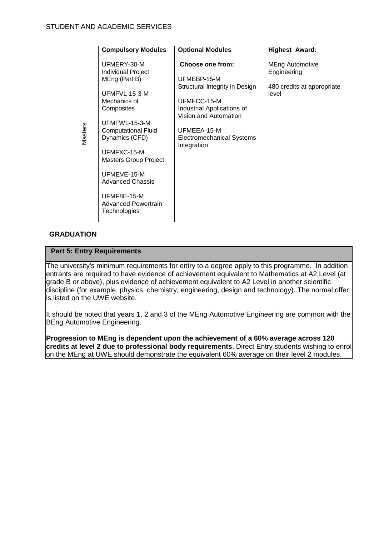|         | <b>Compulsory Modules</b>                                                                                                                                                                                                                                                                                  | <b>Optional Modules</b>                                                                                                                                                                                   | <b>Highest Award:</b>                                                        |
|---------|------------------------------------------------------------------------------------------------------------------------------------------------------------------------------------------------------------------------------------------------------------------------------------------------------------|-----------------------------------------------------------------------------------------------------------------------------------------------------------------------------------------------------------|------------------------------------------------------------------------------|
| Masters | UFMERY-30-M<br>Individual Project<br>MEng (Part B)<br>UFMFVL-15-3-M<br>Mechanics of<br>Composites<br>UFMFWL-15-3-M<br><b>Computational Fluid</b><br>Dynamics (CFD)<br>UFMFXC-15-M<br><b>Masters Group Project</b><br>UFMEVE-15-M<br>Advanced Chassis<br>UFMF8E-15-M<br>Advanced Powertrain<br>Technologies | Choose one from:<br>UFMEBP-15-M<br>Structural Integrity in Design<br>UFMFCC-15-M<br>Industrial Applications of<br>Vision and Automation<br>UFMEEA-15-M<br><b>Electromechanical Systems</b><br>Integration | <b>MEng Automotive</b><br>Engineering<br>480 credits at appropriate<br>level |

# **GRADUATION**

# **Part 5: Entry Requirements**

The university's minimum requirements for entry to a degree apply to this programme. In addition entrants are required to have evidence of achievement equivalent to Mathematics at A2 Level (at grade B or above), plus evidence of achievement equivalent to A2 Level in another scientific discipline (for example, physics, chemistry, engineering, design and technology). The normal offer is listed on the UWE website.

It should be noted that years 1, 2 and 3 of the MEng Automotive Engineering are common with the BEng Automotive Engineering.

**Progression to MEng is dependent upon the achievement of a 60% average across 120 credits at level 2 due to professional body requirements**. Direct Entry students wishing to enrol on the MEng at UWE should demonstrate the equivalent 60% average on their level 2 modules.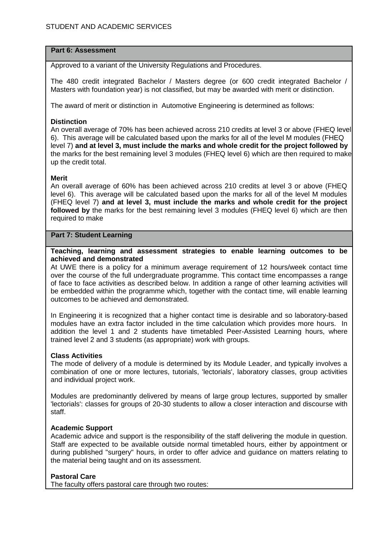#### **Part 6: Assessment**

Approved to a variant of the University Regulations and Procedures.

The 480 credit integrated Bachelor / Masters degree (or 600 credit integrated Bachelor / Masters with foundation year) is not classified, but may be awarded with merit or distinction.

The award of merit or distinction in Automotive Engineering is determined as follows:

# **Distinction**

An overall average of 70% has been achieved across 210 credits at level 3 or above (FHEQ level 6). This average will be calculated based upon the marks for all of the level M modules (FHEQ level 7) **and at level 3, must include the marks and whole credit for the project followed by**  the marks for the best remaining level 3 modules (FHEQ level 6) which are then required to make up the credit total.

# **Merit**

An overall average of 60% has been achieved across 210 credits at level 3 or above (FHEQ level 6). This average will be calculated based upon the marks for all of the level M modules (FHEQ level 7) **and at level 3, must include the marks and whole credit for the project followed by** the marks for the best remaining level 3 modules (FHEQ level 6) which are then required to make

# **Part 7: Student Learning**

#### **Teaching, learning and assessment strategies to enable learning outcomes to be achieved and demonstrated**

At UWE there is a policy for a minimum average requirement of 12 hours/week contact time over the course of the full undergraduate programme. This contact time encompasses a range of face to face activities as described below. In addition a range of other learning activities will be embedded within the programme which, together with the contact time, will enable learning outcomes to be achieved and demonstrated.

In Engineering it is recognized that a higher contact time is desirable and so laboratory-based modules have an extra factor included in the time calculation which provides more hours. In addition the level 1 and 2 students have timetabled Peer-Assisted Learning hours, where trained level 2 and 3 students (as appropriate) work with groups.

# **Class Activities**

The mode of delivery of a module is determined by its Module Leader, and typically involves a combination of one or more lectures, tutorials, 'lectorials', laboratory classes, group activities and individual project work.

Modules are predominantly delivered by means of large group lectures, supported by smaller 'lectorials': classes for groups of 20-30 students to allow a closer interaction and discourse with staff.

# **Academic Support**

Academic advice and support is the responsibility of the staff delivering the module in question. Staff are expected to be available outside normal timetabled hours, either by appointment or during published "surgery" hours, in order to offer advice and guidance on matters relating to the material being taught and on its assessment.

# **Pastoral Care**

The faculty offers pastoral care through two routes: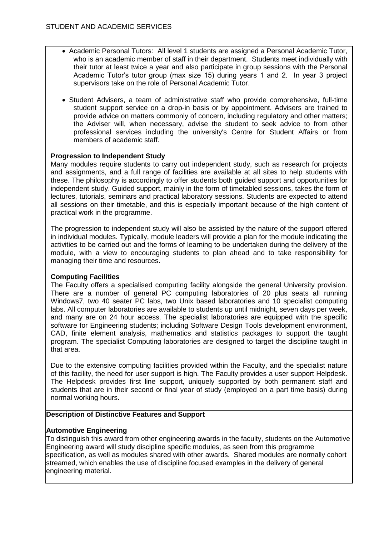- Academic Personal Tutors: All level 1 students are assigned a Personal Academic Tutor, who is an academic member of staff in their department. Students meet individually with their tutor at least twice a year and also participate in group sessions with the Personal Academic Tutor's tutor group (max size 15) during years 1 and 2. In year 3 project supervisors take on the role of Personal Academic Tutor.
- Student Advisers, a team of administrative staff who provide comprehensive, full-time student support service on a drop-in basis or by appointment. Advisers are trained to provide advice on matters commonly of concern, including regulatory and other matters; the Adviser will, when necessary, advise the student to seek advice to from other professional services including the university's Centre for Student Affairs or from members of academic staff.

# **Progression to Independent Study**

Many modules require students to carry out independent study, such as research for projects and assignments, and a full range of facilities are available at all sites to help students with these. The philosophy is accordingly to offer students both guided support and opportunities for independent study. Guided support, mainly in the form of timetabled sessions, takes the form of lectures, tutorials, seminars and practical laboratory sessions. Students are expected to attend all sessions on their timetable, and this is especially important because of the high content of practical work in the programme.

The progression to independent study will also be assisted by the nature of the support offered in individual modules. Typically, module leaders will provide a plan for the module indicating the activities to be carried out and the forms of learning to be undertaken during the delivery of the module, with a view to encouraging students to plan ahead and to take responsibility for managing their time and resources.

# **Computing Facilities**

The Faculty offers a specialised computing facility alongside the general University provision. There are a number of general PC computing laboratories of 20 plus seats all running Windows7, two 40 seater PC labs, two Unix based laboratories and 10 specialist computing labs. All computer laboratories are available to students up until midnight, seven days per week, and many are on 24 hour access. The specialist laboratories are equipped with the specific software for Engineering students; including Software Design Tools development environment, CAD, finite element analysis, mathematics and statistics packages to support the taught program. The specialist Computing laboratories are designed to target the discipline taught in that area.

Due to the extensive computing facilities provided within the Faculty, and the specialist nature of this facility, the need for user support is high. The Faculty provides a user support Helpdesk. The Helpdesk provides first line support, uniquely supported by both permanent staff and students that are in their second or final year of study (employed on a part time basis) during normal working hours.

# **Description of Distinctive Features and Support**

# **Automotive Engineering**

To distinguish this award from other engineering awards in the faculty, students on the Automotive Engineering award will study discipline specific modules, as seen from this programme specification, as well as modules shared with other awards. Shared modules are normally cohort streamed, which enables the use of discipline focused examples in the delivery of general engineering material.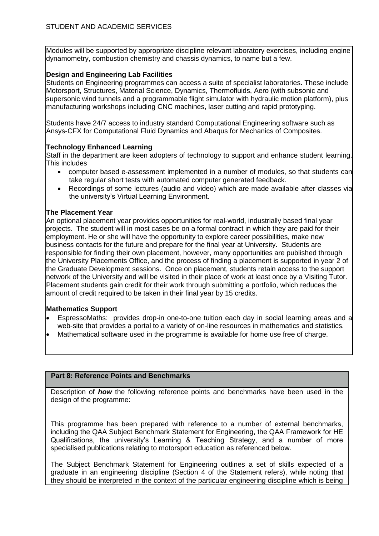Modules will be supported by appropriate discipline relevant laboratory exercises, including engine dynamometry, combustion chemistry and chassis dynamics, to name but a few.

# **Design and Engineering Lab Facilities**

Students on Engineering programmes can access a suite of specialist laboratories. These include Motorsport, Structures, Material Science, Dynamics, Thermofluids, Aero (with subsonic and supersonic wind tunnels and a programmable flight simulator with hydraulic motion platform), plus manufacturing workshops including CNC machines, laser cutting and rapid prototyping.

Students have 24/7 access to industry standard Computational Engineering software such as Ansys-CFX for Computational Fluid Dynamics and Abaqus for Mechanics of Composites.

# **Technology Enhanced Learning**

Staff in the department are keen adopters of technology to support and enhance student learning. This includes

- computer based e-assessment implemented in a number of modules, so that students can take regular short tests with automated computer generated feedback.
- Recordings of some lectures (audio and video) which are made available after classes via the university's Virtual Learning Environment.

#### **The Placement Year**

An optional placement year provides opportunities for real-world, industrially based final year projects. The student will in most cases be on a formal contract in which they are paid for their employment. He or she will have the opportunity to explore career possibilities, make new business contacts for the future and prepare for the final year at University. Students are responsible for finding their own placement, however, many opportunities are published through the University Placements Office, and the process of finding a placement is supported in year 2 of the Graduate Development sessions. Once on placement, students retain access to the support network of the University and will be visited in their place of work at least once by a Visiting Tutor. Placement students gain credit for their work through submitting a portfolio, which reduces the amount of credit required to be taken in their final year by 15 credits.

# **Mathematics Support**

- EspressoMaths: provides drop-in one-to-one tuition each day in social learning areas and a web-site that provides a portal to a variety of on-line resources in mathematics and statistics.
- Mathematical software used in the programme is available for home use free of charge.

# **Part 8: Reference Points and Benchmarks**

Description of *how* the following reference points and benchmarks have been used in the design of the programme:

This programme has been prepared with reference to a number of external benchmarks, including the QAA Subject Benchmark Statement for Engineering, the QAA Framework for HE Qualifications, the university's Learning & Teaching Strategy, and a number of more specialised publications relating to motorsport education as referenced below.

The Subject Benchmark Statement for Engineering outlines a set of skills expected of a graduate in an engineering discipline (Section 4 of the Statement refers), while noting that they should be interpreted in the context of the particular engineering discipline which is being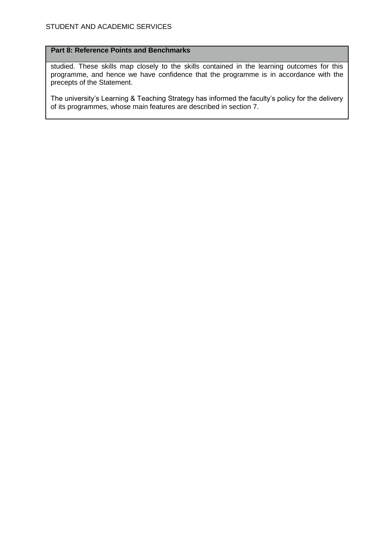# **Part 8: Reference Points and Benchmarks**

studied. These skills map closely to the skills contained in the learning outcomes for this programme, and hence we have confidence that the programme is in accordance with the precepts of the Statement.

The university's Learning & Teaching Strategy has informed the faculty's policy for the delivery of its programmes, whose main features are described in section 7.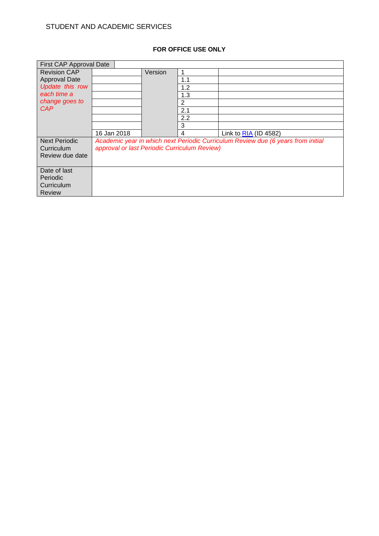# **FOR OFFICE USE ONLY**

| First CAP Approval Date |                                              |         |     |                                                                                  |
|-------------------------|----------------------------------------------|---------|-----|----------------------------------------------------------------------------------|
| <b>Revision CAP</b>     |                                              | Version |     |                                                                                  |
| <b>Approval Date</b>    |                                              |         | 1.1 |                                                                                  |
| Update this row         |                                              |         | 1.2 |                                                                                  |
| each time a             |                                              |         | 1.3 |                                                                                  |
| change goes to          |                                              |         | 2   |                                                                                  |
| <b>CAP</b>              |                                              |         | 2.1 |                                                                                  |
|                         |                                              |         | 2.2 |                                                                                  |
|                         |                                              |         | 3   |                                                                                  |
|                         | 16 Jan 2018                                  |         | 4   | Link to $RIA$ (ID 4582)                                                          |
| <b>Next Periodic</b>    |                                              |         |     | Academic year in which next Periodic Curriculum Review due (6 years from initial |
| Curriculum              | approval or last Periodic Curriculum Review) |         |     |                                                                                  |
| Review due date         |                                              |         |     |                                                                                  |
|                         |                                              |         |     |                                                                                  |
| Date of last            |                                              |         |     |                                                                                  |
| Periodic                |                                              |         |     |                                                                                  |
| Curriculum              |                                              |         |     |                                                                                  |
| <b>Review</b>           |                                              |         |     |                                                                                  |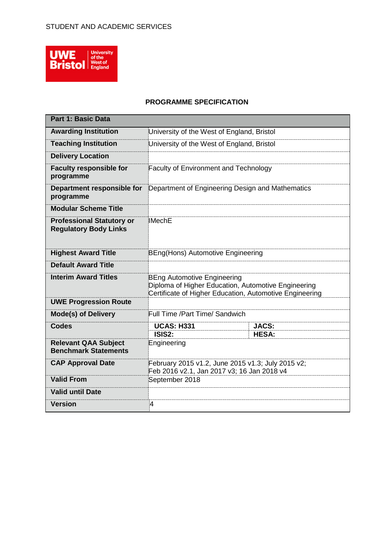

# **PROGRAMME SPECIFICATION**

| <b>Part 1: Basic Data</b>                                        |                                                                                                                                                      |                                            |  |  |
|------------------------------------------------------------------|------------------------------------------------------------------------------------------------------------------------------------------------------|--------------------------------------------|--|--|
| <b>Awarding Institution</b>                                      | University of the West of England, Bristol                                                                                                           |                                            |  |  |
| <b>Teaching Institution</b>                                      |                                                                                                                                                      | University of the West of England, Bristol |  |  |
| <b>Delivery Location</b>                                         |                                                                                                                                                      |                                            |  |  |
| <b>Faculty responsible for</b><br>programme                      | <b>Faculty of Environment and Technology</b>                                                                                                         |                                            |  |  |
| Department responsible for<br>programme                          | Department of Engineering Design and Mathematics                                                                                                     |                                            |  |  |
| <b>Modular Scheme Title</b>                                      |                                                                                                                                                      |                                            |  |  |
| <b>Professional Statutory or</b><br><b>Regulatory Body Links</b> | <b>IMechE</b>                                                                                                                                        |                                            |  |  |
| <b>Highest Award Title</b>                                       | BEng(Hons) Automotive Engineering                                                                                                                    |                                            |  |  |
| <b>Default Award Title</b>                                       |                                                                                                                                                      |                                            |  |  |
| <b>Interim Award Titles</b>                                      | <b>BEng Automotive Engineering</b><br>Diploma of Higher Education, Automotive Engineering<br>Certificate of Higher Education, Automotive Engineering |                                            |  |  |
| <b>UWE Progression Route</b>                                     |                                                                                                                                                      |                                            |  |  |
| <b>Mode(s) of Delivery</b>                                       | Full Time /Part Time/ Sandwich                                                                                                                       |                                            |  |  |
| <b>Codes</b>                                                     | <b>UCAS: H331</b><br><b>JACS:</b>                                                                                                                    |                                            |  |  |
| <b>Relevant QAA Subject</b><br><b>Benchmark Statements</b>       | ISIS2:<br><b>HESA:</b><br>Engineering                                                                                                                |                                            |  |  |
| <b>CAP Approval Date</b>                                         | February 2015 v1.2, June 2015 v1.3; July 2015 v2;<br>Feb 2016 v2.1, Jan 2017 v3; 16 Jan 2018 v4                                                      |                                            |  |  |
| <b>Valid From</b>                                                | September 2018                                                                                                                                       |                                            |  |  |
| <b>Valid until Date</b>                                          |                                                                                                                                                      |                                            |  |  |
| <b>Version</b>                                                   | 4                                                                                                                                                    |                                            |  |  |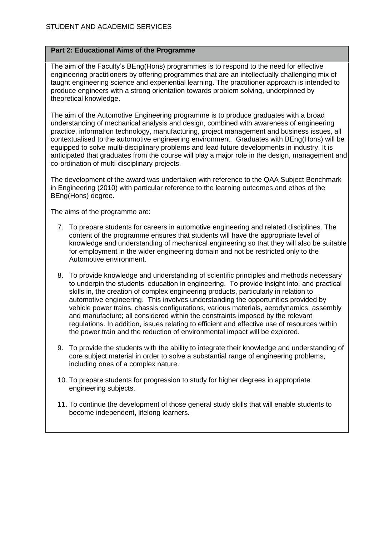# **Part 2: Educational Aims of the Programme**

The aim of the Faculty's BEng(Hons) programmes is to respond to the need for effective engineering practitioners by offering programmes that are an intellectually challenging mix of taught engineering science and experiential learning. The practitioner approach is intended to produce engineers with a strong orientation towards problem solving, underpinned by theoretical knowledge.

The aim of the Automotive Engineering programme is to produce graduates with a broad understanding of mechanical analysis and design, combined with awareness of engineering practice, information technology, manufacturing, project management and business issues, all contextualised to the automotive engineering environment. Graduates with BEng(Hons) will be equipped to solve multi-disciplinary problems and lead future developments in industry. It is anticipated that graduates from the course will play a major role in the design, management and co-ordination of multi-disciplinary projects.

The development of the award was undertaken with reference to the QAA Subject Benchmark in Engineering (2010) with particular reference to the learning outcomes and ethos of the BEng(Hons) degree.

The aims of the programme are:

- 7. To prepare students for careers in automotive engineering and related disciplines. The content of the programme ensures that students will have the appropriate level of knowledge and understanding of mechanical engineering so that they will also be suitable for employment in the wider engineering domain and not be restricted only to the Automotive environment.
- 8. To provide knowledge and understanding of scientific principles and methods necessary to underpin the students' education in engineering. To provide insight into, and practical skills in, the creation of complex engineering products, particularly in relation to automotive engineering. This involves understanding the opportunities provided by vehicle power trains, chassis configurations, various materials, aerodynamics, assembly and manufacture; all considered within the constraints imposed by the relevant regulations. In addition, issues relating to efficient and effective use of resources within the power train and the reduction of environmental impact will be explored.
- 9. To provide the students with the ability to integrate their knowledge and understanding of core subject material in order to solve a substantial range of engineering problems, including ones of a complex nature.
- 10. To prepare students for progression to study for higher degrees in appropriate engineering subjects.
- 11. To continue the development of those general study skills that will enable students to become independent, lifelong learners.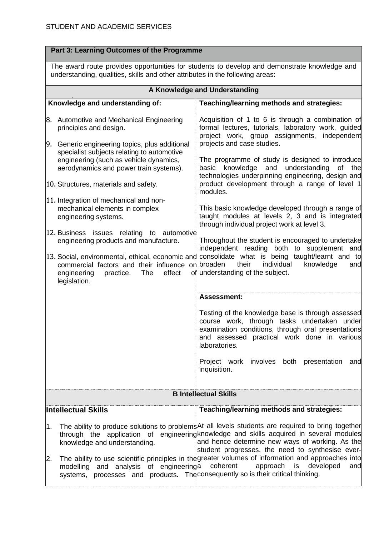|     | Part 3: Learning Outcomes of the Programme                                                                                                                                    |                                                                                                                                                                                                                                                                                                      |  |  |
|-----|-------------------------------------------------------------------------------------------------------------------------------------------------------------------------------|------------------------------------------------------------------------------------------------------------------------------------------------------------------------------------------------------------------------------------------------------------------------------------------------------|--|--|
|     | The award route provides opportunities for students to develop and demonstrate knowledge and<br>understanding, qualities, skills and other attributes in the following areas: |                                                                                                                                                                                                                                                                                                      |  |  |
|     |                                                                                                                                                                               | A Knowledge and Understanding                                                                                                                                                                                                                                                                        |  |  |
|     | Knowledge and understanding of:                                                                                                                                               | Teaching/learning methods and strategies:                                                                                                                                                                                                                                                            |  |  |
|     | 8. Automotive and Mechanical Engineering<br>principles and design.<br>9. Generic engineering topics, plus additional                                                          | Acquisition of 1 to 6 is through a combination of<br>formal lectures, tutorials, laboratory work, guided<br>project work, group assignments, independent<br>projects and case studies.                                                                                                               |  |  |
|     | specialist subjects relating to automotive<br>engineering (such as vehicle dynamics,<br>aerodynamics and power train systems).                                                | The programme of study is designed to introduce<br>basic knowledge<br>and<br>understanding<br>0f<br>thel<br>technologies underpinning engineering, design and                                                                                                                                        |  |  |
|     | 10. Structures, materials and safety.                                                                                                                                         | product development through a range of level 1<br>modules.                                                                                                                                                                                                                                           |  |  |
|     | 11. Integration of mechanical and non-<br>mechanical elements in complex<br>engineering systems.                                                                              | This basic knowledge developed through a range of<br>taught modules at levels 2, 3 and is integrated<br>through individual project work at level 3.                                                                                                                                                  |  |  |
|     | 12. Business issues relating to automotive<br>engineering products and manufacture.                                                                                           | Throughout the student is encouraged to undertake<br>independent reading both to supplement and                                                                                                                                                                                                      |  |  |
|     | commercial factors and their influence on broaden<br>effect<br>engineering<br>practice.<br>The<br>legislation.                                                                | 13. Social, environmental, ethical, economic and consolidate what is being taught/learnt and to<br>their<br>individual<br>knowledge<br>and<br>of understanding of the subject.                                                                                                                       |  |  |
|     |                                                                                                                                                                               | <b>Assessment:</b>                                                                                                                                                                                                                                                                                   |  |  |
|     |                                                                                                                                                                               | Testing of the knowledge base is through assessed<br>course work, through tasks undertaken under<br>examination conditions, through oral presentations<br>and assessed practical work done in various<br>laboratories.                                                                               |  |  |
|     |                                                                                                                                                                               | Project work involves both presentation and<br>inquisition.                                                                                                                                                                                                                                          |  |  |
|     |                                                                                                                                                                               | <b>B Intellectual Skills</b>                                                                                                                                                                                                                                                                         |  |  |
|     | <b>Intellectual Skills</b>                                                                                                                                                    | Teaching/learning methods and strategies:                                                                                                                                                                                                                                                            |  |  |
| l1. | knowledge and understanding.                                                                                                                                                  | The ability to produce solutions to problems At all levels students are required to bring together<br>through the application of engineering knowledge and skills acquired in several modules<br>and hence determine new ways of working. As the<br>student progresses, the need to synthesise ever- |  |  |
|     | modelling and analysis of engineering a coherent<br>systems, processes and products. The consequently so is their critical thinking.                                          | The ability to use scientific principles in the greater volumes of information and approaches into<br>approach is<br>developed<br>and                                                                                                                                                                |  |  |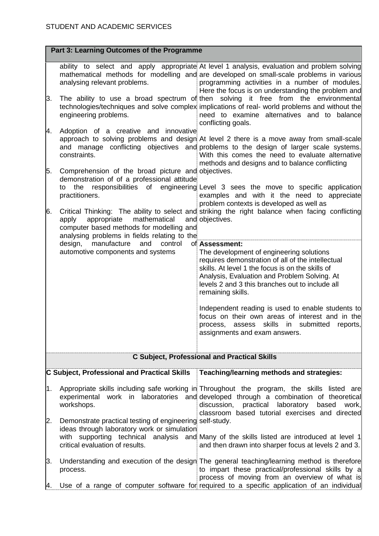|    | Part 3: Learning Outcomes of the Programme                                                                                       |                                                                                                                                                                                                                                                                                                |  |  |  |
|----|----------------------------------------------------------------------------------------------------------------------------------|------------------------------------------------------------------------------------------------------------------------------------------------------------------------------------------------------------------------------------------------------------------------------------------------|--|--|--|
|    | analysing relevant problems.                                                                                                     | ability to select and apply appropriate At level 1 analysis, evaluation and problem solving<br>mathematical methods for modelling and are developed on small-scale problems in various<br>programming activities in a number of modules.<br>Here the focus is on understanding the problem and |  |  |  |
| β. | engineering problems.                                                                                                            | The ability to use a broad spectrum of then solving it free from the environmental<br>technologies/techniques and solve complex implications of real- world problems and without the<br>need to examine alternatives and to balance<br>conflicting goals.                                      |  |  |  |
| И. | Adoption of a creative and innovative<br>constraints.                                                                            | approach to solving problems and design At level 2 there is a move away from small-scale<br>and manage conflicting objectives and problems to the design of larger scale systems.<br>With this comes the need to evaluate alternative<br>methods and designs and to balance conflicting        |  |  |  |
| 5. | Comprehension of the broad picture and objectives.<br>demonstration of of a professional attitude<br>the<br>to                   |                                                                                                                                                                                                                                                                                                |  |  |  |
| 6. | practitioners.                                                                                                                   | responsibilities of engineering Level 3 sees the move to specific application<br>examples and with it the need to appreciate<br>problem contexts is developed as well as<br>Critical Thinking: The ability to select and striking the right balance when facing conflicting                    |  |  |  |
|    | mathematical<br>appropriate<br>apply<br>computer based methods for modelling and<br>analysing problems in fields relating to the | and objectives.                                                                                                                                                                                                                                                                                |  |  |  |
|    | manufacture<br>and<br>design,<br>control<br>automotive components and systems                                                    | of Assessment:<br>The development of engineering solutions                                                                                                                                                                                                                                     |  |  |  |
|    |                                                                                                                                  | requires demonstration of all of the intellectual<br>skills. At level 1 the focus is on the skills of<br>Analysis, Evaluation and Problem Solving. At<br>levels 2 and 3 this branches out to include all<br>remaining skills.                                                                  |  |  |  |
|    |                                                                                                                                  | Independent reading is used to enable students to<br>focus on their own areas of interest and in the<br>process, assess skills in<br>submitted<br>reports,<br>assignments and exam answers.                                                                                                    |  |  |  |
|    |                                                                                                                                  | <b>C Subject, Professional and Practical Skills</b>                                                                                                                                                                                                                                            |  |  |  |
|    | C Subject, Professional and Practical Skills                                                                                     | Teaching/learning methods and strategies:                                                                                                                                                                                                                                                      |  |  |  |
| И. | workshops.                                                                                                                       | Appropriate skills including safe working in Throughout the program, the skills listed are<br>experimental work in laboratories and developed through a combination of theoretical<br>discussion,<br>practical laboratory<br>based<br>work,<br>classroom based tutorial exercises and directed |  |  |  |
| 2. | Demonstrate practical testing of engineering self-study.<br>ideas through laboratory work or simulation                          |                                                                                                                                                                                                                                                                                                |  |  |  |
|    | critical evaluation of results.                                                                                                  | with supporting technical analysis and Many of the skills listed are introduced at level 1<br>and then drawn into sharper focus at levels 2 and 3.                                                                                                                                             |  |  |  |
| β. | process.                                                                                                                         | Understanding and execution of the design The general teaching/learning method is therefore<br>to impart these practical/professional skills by a<br>process of moving from an overview of what is                                                                                             |  |  |  |
| Α. |                                                                                                                                  | Use of a range of computer software for required to a specific application of an individual                                                                                                                                                                                                    |  |  |  |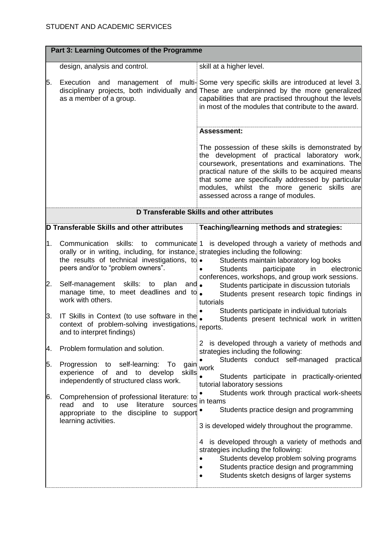| Part 3: Learning Outcomes of the Programme |                                                                                                                                                                                                   |                                                                                                                                                                                                                                                                                                                                                                                           |  |  |  |
|--------------------------------------------|---------------------------------------------------------------------------------------------------------------------------------------------------------------------------------------------------|-------------------------------------------------------------------------------------------------------------------------------------------------------------------------------------------------------------------------------------------------------------------------------------------------------------------------------------------------------------------------------------------|--|--|--|
|                                            | design, analysis and control.                                                                                                                                                                     | skill at a higher level.                                                                                                                                                                                                                                                                                                                                                                  |  |  |  |
| 5.                                         | Execution and<br>as a member of a group.                                                                                                                                                          | management of multi-Some very specific skills are introduced at level 3.<br>disciplinary projects, both individually and These are underpinned by the more generalized<br>capabilities that are practised throughout the levels<br>in most of the modules that contribute to the award.                                                                                                   |  |  |  |
|                                            |                                                                                                                                                                                                   | <b>Assessment:</b>                                                                                                                                                                                                                                                                                                                                                                        |  |  |  |
|                                            |                                                                                                                                                                                                   | The possession of these skills is demonstrated by<br>the development of practical laboratory work,<br>coursework, presentations and examinations. The<br>practical nature of the skills to be acquired means<br>that some are specifically addressed by particular<br>modules, whilst the more generic skills are<br>assessed across a range of modules.                                  |  |  |  |
|                                            | D Transferable Skills and other attributes                                                                                                                                                        |                                                                                                                                                                                                                                                                                                                                                                                           |  |  |  |
|                                            | D Transferable Skills and other attributes                                                                                                                                                        | Teaching/learning methods and strategies:                                                                                                                                                                                                                                                                                                                                                 |  |  |  |
| l1.                                        | Communication skills:<br>orally or in writing, including, for instance, strategies including the following:<br>the results of technical investigations, to .<br>peers and/or to "problem owners". | to communicate 1 is developed through a variety of methods and<br>Students maintain laboratory log books<br><b>Students</b><br>participate<br>electronic<br>in                                                                                                                                                                                                                            |  |  |  |
| 2.                                         | Self-management skills: to plan and.<br>manage time, to meet deadlines and to<br>work with others.                                                                                                | conferences, workshops, and group work sessions.<br>Students participate in discussion tutorials<br>Students present research topic findings in<br>tutorials                                                                                                                                                                                                                              |  |  |  |
| β.                                         | IT Skills in Context (to use software in the<br>context of problem-solving investigations, reports.<br>and to interpret findings)                                                                 | Students participate in individual tutorials<br>Students present technical work in written                                                                                                                                                                                                                                                                                                |  |  |  |
| μ.                                         | Problem formulation and solution.                                                                                                                                                                 | 2 is developed through a variety of methods and<br>strategies including the following:                                                                                                                                                                                                                                                                                                    |  |  |  |
| 5.                                         | Progression to self-learning:<br>gain<br>To<br>of<br>and<br>to<br>skills<br>experience<br>develop<br>independently of structured class work.                                                      | Students conduct self-managed<br>practical<br>work<br>Students participate in practically-oriented<br>tutorial laboratory sessions                                                                                                                                                                                                                                                        |  |  |  |
| 6.                                         | Comprehension of professional literature: to<br>read<br>and<br>use<br>literature<br>to<br>sources<br>appropriate to the discipline to support<br>learning activities.                             | Students work through practical work-sheets<br>in teams<br>Students practice design and programming<br>3 is developed widely throughout the programme.<br>is developed through a variety of methods and<br>4<br>strategies including the following:<br>Students develop problem solving programs<br>Students practice design and programming<br>Students sketch designs of larger systems |  |  |  |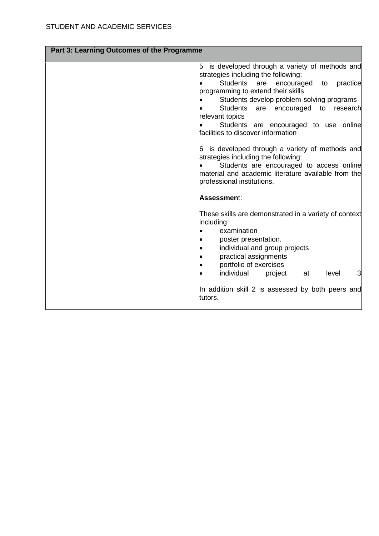| Part 3: Learning Outcomes of the Programme |                                                                                                                                                                                                                                                                                                                                                                                                                                                                                                                                                                                                                                  |
|--------------------------------------------|----------------------------------------------------------------------------------------------------------------------------------------------------------------------------------------------------------------------------------------------------------------------------------------------------------------------------------------------------------------------------------------------------------------------------------------------------------------------------------------------------------------------------------------------------------------------------------------------------------------------------------|
|                                            | is developed through a variety of methods and<br>5<br>strategies including the following:<br><b>Students</b><br>encouraged<br>practice<br>are<br>to<br>programming to extend their skills<br>Students develop problem-solving programs<br><b>Students</b><br>are<br>encouraged<br>to<br>research<br>relevant topics<br>Students are encouraged to use online<br>facilities to discover information<br>is developed through a variety of methods and<br>6<br>strategies including the following:<br>Students are encouraged to access online<br>material and academic literature available from the<br>professional institutions. |
|                                            | Assessment:<br>These skills are demonstrated in a variety of context<br>including<br>examination<br>poster presentation.<br>$\bullet$<br>individual and group projects<br>practical assignments<br>$\bullet$<br>portfolio of exercises<br>٠<br>individual<br>3<br>project<br>level<br>at<br>$\bullet$<br>In addition skill 2 is assessed by both peers and<br>tutors.                                                                                                                                                                                                                                                            |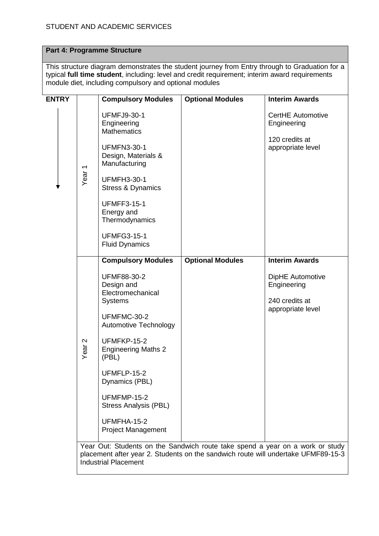# **Part 4: Programme Structure**

This structure diagram demonstrates the student journey from Entry through to Graduation for a typical **full time student**, including: level and credit requirement; interim award requirements module diet, including compulsory and optional modules

| <b>ENTRY</b> |                                                                                                                                                                                                   | <b>Compulsory Modules</b>                                                                                                                                                                                                                                                                                                             | <b>Optional Modules</b> | <b>Interim Awards</b>                                                                           |
|--------------|---------------------------------------------------------------------------------------------------------------------------------------------------------------------------------------------------|---------------------------------------------------------------------------------------------------------------------------------------------------------------------------------------------------------------------------------------------------------------------------------------------------------------------------------------|-------------------------|-------------------------------------------------------------------------------------------------|
|              | Year <sub>1</sub>                                                                                                                                                                                 | <b>UFMFJ9-30-1</b><br>Engineering<br><b>Mathematics</b><br><b>UFMFN3-30-1</b><br>Design, Materials &<br>Manufacturing<br><b>UFMFH3-30-1</b><br>Stress & Dynamics<br><b>UFMFF3-15-1</b><br>Energy and<br>Thermodynamics<br><b>UFMFG3-15-1</b><br><b>Fluid Dynamics</b>                                                                 |                         | <b>CertHE Automotive</b><br>Engineering<br>120 credits at<br>appropriate level                  |
|              | $\mathbf{\Omega}$<br>Year                                                                                                                                                                         | <b>Compulsory Modules</b><br><b>UFMF88-30-2</b><br>Design and<br>Electromechanical<br><b>Systems</b><br>UFMFMC-30-2<br><b>Automotive Technology</b><br>UFMFKP-15-2<br><b>Engineering Maths 2</b><br>(PBL)<br>UFMFLP-15-2<br>Dynamics (PBL)<br>UFMFMP-15-2<br><b>Stress Analysis (PBL)</b><br>UFMFHA-15-2<br><b>Project Management</b> | <b>Optional Modules</b> | <b>Interim Awards</b><br>DipHE Automotive<br>Engineering<br>240 credits at<br>appropriate level |
|              | Year Out: Students on the Sandwich route take spend a year on a work or study<br>placement after year 2. Students on the sandwich route will undertake UFMF89-15-3<br><b>Industrial Placement</b> |                                                                                                                                                                                                                                                                                                                                       |                         |                                                                                                 |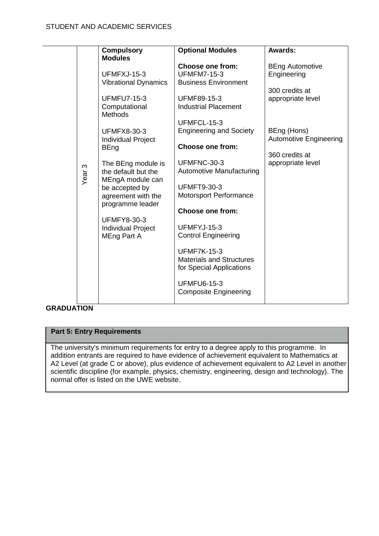|                   | <b>Compulsory</b>                      | <b>Optional Modules</b>                                     | Awards:                       |  |
|-------------------|----------------------------------------|-------------------------------------------------------------|-------------------------------|--|
|                   | <b>Modules</b>                         |                                                             |                               |  |
|                   |                                        | <b>Choose one from:</b>                                     | <b>BEng Automotive</b>        |  |
|                   | UFMFXJ-15-3                            | <b>UFMFM7-15-3</b>                                          | Engineering                   |  |
|                   | <b>Vibrational Dynamics</b>            | <b>Business Environment</b>                                 | 300 credits at                |  |
|                   | <b>UFMFU7-15-3</b>                     | <b>UFMF89-15-3</b>                                          | appropriate level             |  |
|                   | Computational                          | <b>Industrial Placement</b>                                 |                               |  |
|                   | <b>Methods</b>                         |                                                             |                               |  |
|                   |                                        | UFMFCL-15-3                                                 |                               |  |
|                   | <b>UFMFX8-30-3</b>                     | <b>Engineering and Society</b>                              | BEng (Hons)                   |  |
|                   | <b>Individual Project</b>              |                                                             | <b>Automotive Engineering</b> |  |
|                   | <b>BEng</b>                            | <b>Choose one from:</b>                                     |                               |  |
|                   |                                        |                                                             | 360 credits at                |  |
|                   | The BEng module is                     | UFMFNC-30-3                                                 | appropriate level             |  |
| Year <sub>3</sub> | the default but the                    | Automotive Manufacturing                                    |                               |  |
|                   | MEngA module can                       | <b>UFMFT9-30-3</b>                                          |                               |  |
|                   | be accepted by                         | Motorsport Performance                                      |                               |  |
|                   | agreement with the<br>programme leader |                                                             |                               |  |
|                   |                                        | <b>Choose one from:</b>                                     |                               |  |
|                   | <b>UFMFY8-30-3</b>                     |                                                             |                               |  |
|                   | <b>Individual Project</b>              | UFMFYJ-15-3                                                 |                               |  |
|                   | MEng Part A                            | <b>Control Engineering</b>                                  |                               |  |
|                   |                                        |                                                             |                               |  |
|                   |                                        | <b>UFMF7K-15-3</b>                                          |                               |  |
|                   |                                        | <b>Materials and Structures</b><br>for Special Applications |                               |  |
|                   |                                        |                                                             |                               |  |
|                   |                                        | <b>UFMFU6-15-3</b>                                          |                               |  |
|                   |                                        | <b>Composite Engineering</b>                                |                               |  |
|                   |                                        |                                                             |                               |  |

# **GRADUATION**

# **Part 5: Entry Requirements**

The university's minimum requirements for entry to a degree apply to this programme. In addition entrants are required to have evidence of achievement equivalent to Mathematics at A2 Level (at grade C or above), plus evidence of achievement equivalent to A2 Level in another scientific discipline (for example, physics, chemistry, engineering, design and technology). The normal offer is listed on the UWE website.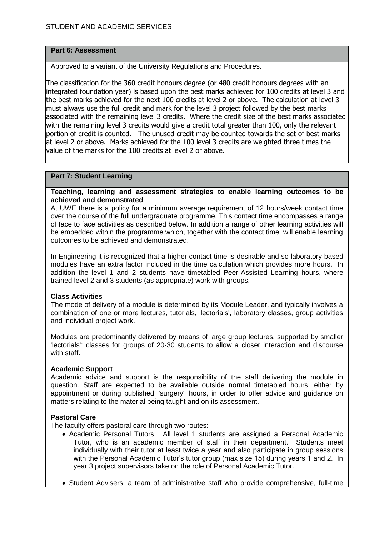#### **Part 6: Assessment**

Approved to a variant of the University Regulations and Procedures.

The classification for the 360 credit honours degree (or 480 credit honours degrees with an integrated foundation year) is based upon the best marks achieved for 100 credits at level 3 and the best marks achieved for the next 100 credits at level 2 or above. The calculation at level 3 must always use the full credit and mark for the level 3 project followed by the best marks associated with the remaining level 3 credits. Where the credit size of the best marks associated with the remaining level 3 credits would give a credit total greater than 100, only the relevant portion of credit is counted. The unused credit may be counted towards the set of best marks at level 2 or above. Marks achieved for the 100 level 3 credits are weighted three times the value of the marks for the 100 credits at level 2 or above.

#### **Part 7: Student Learning**

#### **Teaching, learning and assessment strategies to enable learning outcomes to be achieved and demonstrated**

At UWE there is a policy for a minimum average requirement of 12 hours/week contact time over the course of the full undergraduate programme. This contact time encompasses a range of face to face activities as described below. In addition a range of other learning activities will be embedded within the programme which, together with the contact time, will enable learning outcomes to be achieved and demonstrated.

In Engineering it is recognized that a higher contact time is desirable and so laboratory-based modules have an extra factor included in the time calculation which provides more hours. In addition the level 1 and 2 students have timetabled Peer-Assisted Learning hours, where trained level 2 and 3 students (as appropriate) work with groups.

# **Class Activities**

The mode of delivery of a module is determined by its Module Leader, and typically involves a combination of one or more lectures, tutorials, 'lectorials', laboratory classes, group activities and individual project work.

Modules are predominantly delivered by means of large group lectures, supported by smaller 'lectorials': classes for groups of 20-30 students to allow a closer interaction and discourse with staff.

#### **Academic Support**

Academic advice and support is the responsibility of the staff delivering the module in question. Staff are expected to be available outside normal timetabled hours, either by appointment or during published "surgery" hours, in order to offer advice and guidance on matters relating to the material being taught and on its assessment.

# **Pastoral Care**

The faculty offers pastoral care through two routes:

- Academic Personal Tutors: All level 1 students are assigned a Personal Academic Tutor, who is an academic member of staff in their department. Students meet individually with their tutor at least twice a year and also participate in group sessions with the Personal Academic Tutor's tutor group (max size 15) during years 1 and 2. In year 3 project supervisors take on the role of Personal Academic Tutor.
- Student Advisers, a team of administrative staff who provide comprehensive, full-time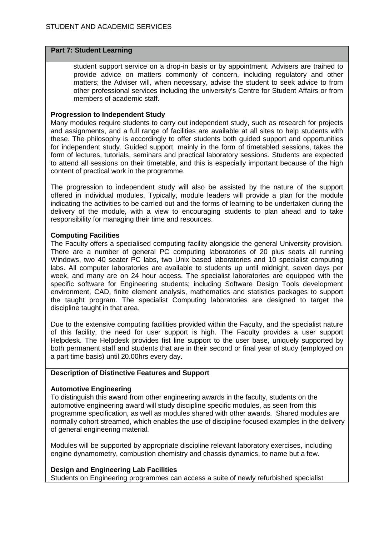#### **Part 7: Student Learning**

student support service on a drop-in basis or by appointment. Advisers are trained to provide advice on matters commonly of concern, including regulatory and other matters; the Adviser will, when necessary, advise the student to seek advice to from other professional services including the university's Centre for Student Affairs or from members of academic staff.

#### **Progression to Independent Study**

Many modules require students to carry out independent study, such as research for projects and assignments, and a full range of facilities are available at all sites to help students with these. The philosophy is accordingly to offer students both guided support and opportunities for independent study. Guided support, mainly in the form of timetabled sessions, takes the form of lectures, tutorials, seminars and practical laboratory sessions. Students are expected to attend all sessions on their timetable, and this is especially important because of the high content of practical work in the programme.

The progression to independent study will also be assisted by the nature of the support offered in individual modules. Typically, module leaders will provide a plan for the module indicating the activities to be carried out and the forms of learning to be undertaken during the delivery of the module, with a view to encouraging students to plan ahead and to take responsibility for managing their time and resources.

# **Computing Facilities**

The Faculty offers a specialised computing facility alongside the general University provision. There are a number of general PC computing laboratories of 20 plus seats all running Windows, two 40 seater PC labs, two Unix based laboratories and 10 specialist computing labs. All computer laboratories are available to students up until midnight, seven days per week, and many are on 24 hour access. The specialist laboratories are equipped with the specific software for Engineering students; including Software Design Tools development environment, CAD, finite element analysis, mathematics and statistics packages to support the taught program. The specialist Computing laboratories are designed to target the discipline taught in that area.

Due to the extensive computing facilities provided within the Faculty, and the specialist nature of this facility, the need for user support is high. The Faculty provides a user support Helpdesk. The Helpdesk provides fist line support to the user base, uniquely supported by both permanent staff and students that are in their second or final year of study (employed on a part time basis) until 20.00hrs every day.

# **Description of Distinctive Features and Support**

# **Automotive Engineering**

To distinguish this award from other engineering awards in the faculty, students on the automotive engineering award will study discipline specific modules, as seen from this programme specification, as well as modules shared with other awards. Shared modules are normally cohort streamed, which enables the use of discipline focused examples in the delivery of general engineering material.

Modules will be supported by appropriate discipline relevant laboratory exercises, including engine dynamometry, combustion chemistry and chassis dynamics, to name but a few.

#### **Design and Engineering Lab Facilities**

Students on Engineering programmes can access a suite of newly refurbished specialist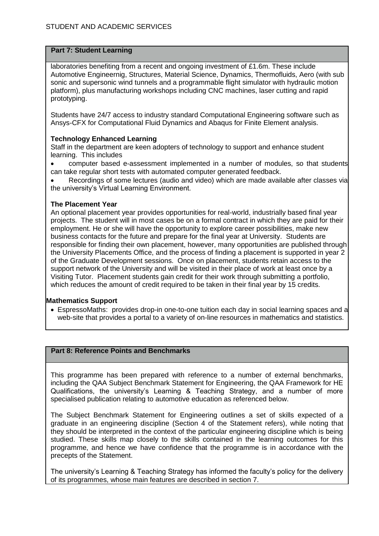# **Part 7: Student Learning**

laboratories benefiting from a recent and ongoing investment of £1.6m. These include Automotive Engineernig, Structures, Material Science, Dynamics, Thermofluids, Aero (with sub sonic and supersonic wind tunnels and a programmable flight simulator with hydraulic motion platform), plus manufacturing workshops including CNC machines, laser cutting and rapid prototyping.

Students have 24/7 access to industry standard Computational Engineering software such as Ansys-CFX for Computational Fluid Dynamics and Abaqus for Finite Element analysis.

# **Technology Enhanced Learning**

Staff in the department are keen adopters of technology to support and enhance student learning. This includes

 computer based e-assessment implemented in a number of modules, so that students can take regular short tests with automated computer generated feedback.

 Recordings of some lectures (audio and video) which are made available after classes via the university's Virtual Learning Environment.

# **The Placement Year**

An optional placement year provides opportunities for real-world, industrially based final year projects. The student will in most cases be on a formal contract in which they are paid for their employment. He or she will have the opportunity to explore career possibilities, make new business contacts for the future and prepare for the final year at University. Students are responsible for finding their own placement, however, many opportunities are published through the University Placements Office, and the process of finding a placement is supported in year 2 of the Graduate Development sessions. Once on placement, students retain access to the support network of the University and will be visited in their place of work at least once by a Visiting Tutor. Placement students gain credit for their work through submitting a portfolio, which reduces the amount of credit required to be taken in their final year by 15 credits.

# **Mathematics Support**

 EspressoMaths: provides drop-in one-to-one tuition each day in social learning spaces and a web-site that provides a portal to a variety of on-line resources in mathematics and statistics.

# **Part 8: Reference Points and Benchmarks**

This programme has been prepared with reference to a number of external benchmarks, including the QAA Subject Benchmark Statement for Engineering, the QAA Framework for HE Qualifications, the university's Learning & Teaching Strategy, and a number of more specialised publication relating to automotive education as referenced below.

The Subject Benchmark Statement for Engineering outlines a set of skills expected of a graduate in an engineering discipline (Section 4 of the Statement refers), while noting that they should be interpreted in the context of the particular engineering discipline which is being studied. These skills map closely to the skills contained in the learning outcomes for this programme, and hence we have confidence that the programme is in accordance with the precepts of the Statement.

The university's Learning & Teaching Strategy has informed the faculty's policy for the delivery of its programmes, whose main features are described in section 7.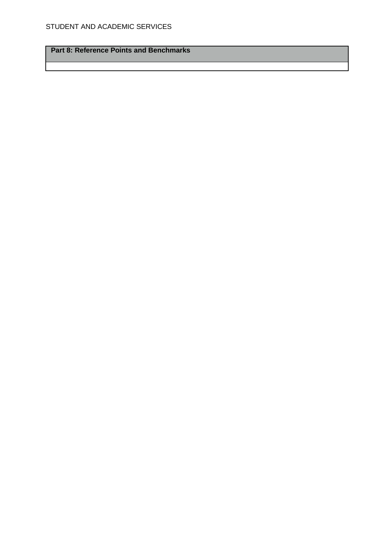**Part 8: Reference Points and Benchmarks**